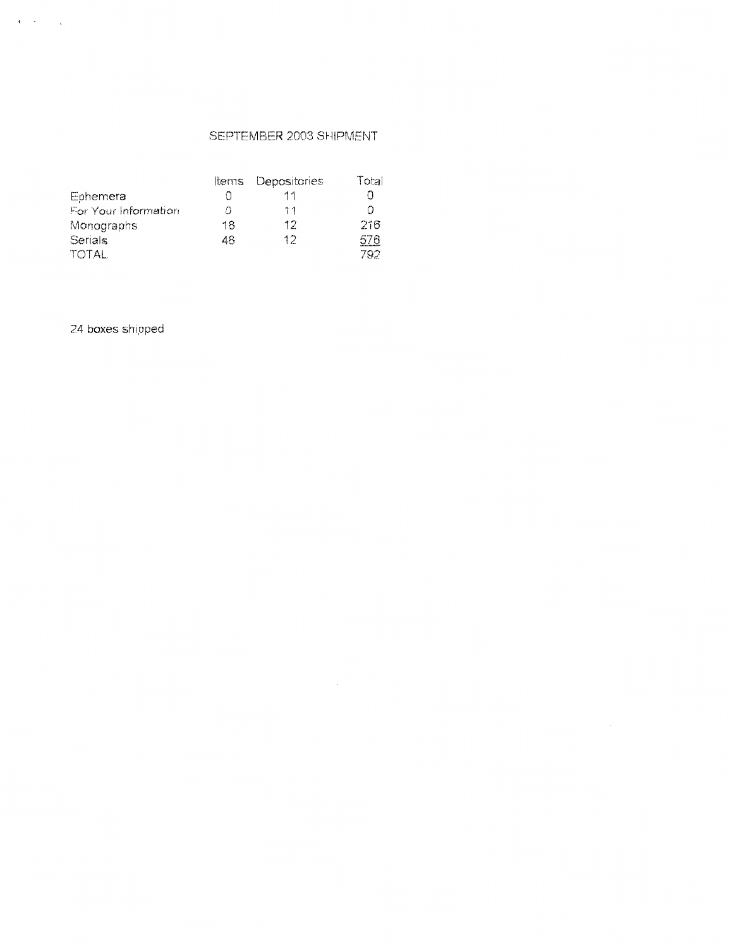# SEPTEMBER 2003 SHIPMENT

 $\sim$ 

|                      | ltems | Depositories | Total |
|----------------------|-------|--------------|-------|
| Ephemera             |       | 11           | ſ1    |
| For Your Information |       | 11           | n     |
| Monographs           | 18    | 12           | 216   |
| Serials              | 48    | 12           | 576   |
| TOTAL                |       |              | 792   |

24 boxes shipped

 $\mathbf{r} = \mathbf{r} - \mathbf{r}$  ,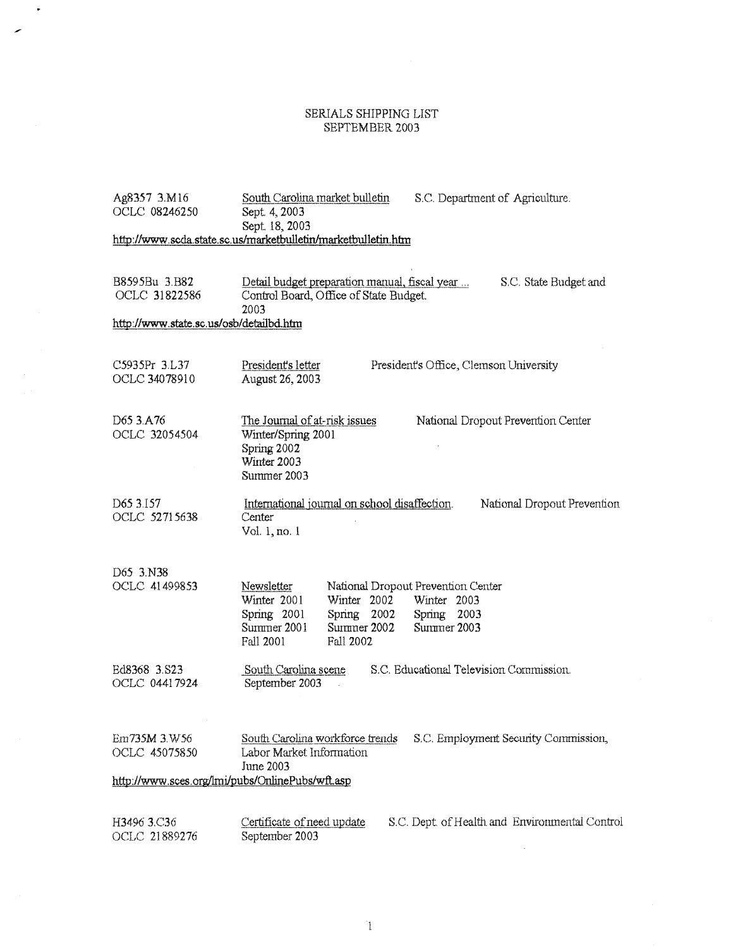# $\begin{array}{c} \text{SERIALS \textcolor{black}{SHPPING \textcolor{black}{LIST}}} \\ \text{SEPTEMBER 2003} \end{array}$

 $\bullet$ 

| Ag8357 3.M16<br>OCLC 08246250                                                    | South Carolina market bulletin<br>S.C. Department of Agriculture.<br>Sept. 4, 2003<br>Sept. 18, 2003                                                                                                              |  |  |  |
|----------------------------------------------------------------------------------|-------------------------------------------------------------------------------------------------------------------------------------------------------------------------------------------------------------------|--|--|--|
| http://www.scda.state.sc.us/marketbulletin/marketbulletin.htm                    |                                                                                                                                                                                                                   |  |  |  |
|                                                                                  |                                                                                                                                                                                                                   |  |  |  |
| B8595Bu 3.B82<br>OCLC 31822586                                                   | Detail budget preparation manual, fiscal year<br>S.C. State Budget and<br>Control Board, Office of State Budget.<br>2003                                                                                          |  |  |  |
| http://www.state.sc.us/osb/detailbd.htm                                          |                                                                                                                                                                                                                   |  |  |  |
|                                                                                  |                                                                                                                                                                                                                   |  |  |  |
| C5935Pr 3.L37<br>OCLC 34078910                                                   | President's letter<br>President's Office, Clemson University<br>August 26, 2003                                                                                                                                   |  |  |  |
| D65 3.A76<br>OCLC 32054504                                                       | <u>The Journal of at-risk issues</u><br>National Dropout Prevention Center<br>Winter/Spring 2001<br>Spring 2002<br>Winter 2003<br>Summer 2003                                                                     |  |  |  |
| D65 3.157<br>OCLC 52715638                                                       | International journal on school disaffection.<br>National Dropout Prevention<br>Center<br>Vol. 1, no. 1                                                                                                           |  |  |  |
| D65 3.N38<br>OCLC 41499853                                                       | National Dropout Prevention Center<br>Newsletter<br>Winter 2001<br>Winter 2002<br>Winter 2003<br>Spring 2001<br>Spring 2002<br>Spring 2003<br>Summer 2001<br>Summer 2002<br>Summer 2003<br>Fall 2001<br>Fall 2002 |  |  |  |
| Ed8368 3.S23<br>OCLC 04417924                                                    | S.C. Educational Television Commission.<br>South Carolina scene<br>September 2003                                                                                                                                 |  |  |  |
| Em735M 3.W56<br>OCLC 45075850<br>http://www.sces.org/lmi/pubs/OnlinePubs/wft.asp | South Carolina workforce trends<br>S.C. Employment Security Commission,<br>Labor Market Information<br>June 2003                                                                                                  |  |  |  |
| H3496 3.C36<br>OCLC 21889276                                                     | S.C. Dept. of Health and Environmental Control<br>Certificate of need update<br>September 2003                                                                                                                    |  |  |  |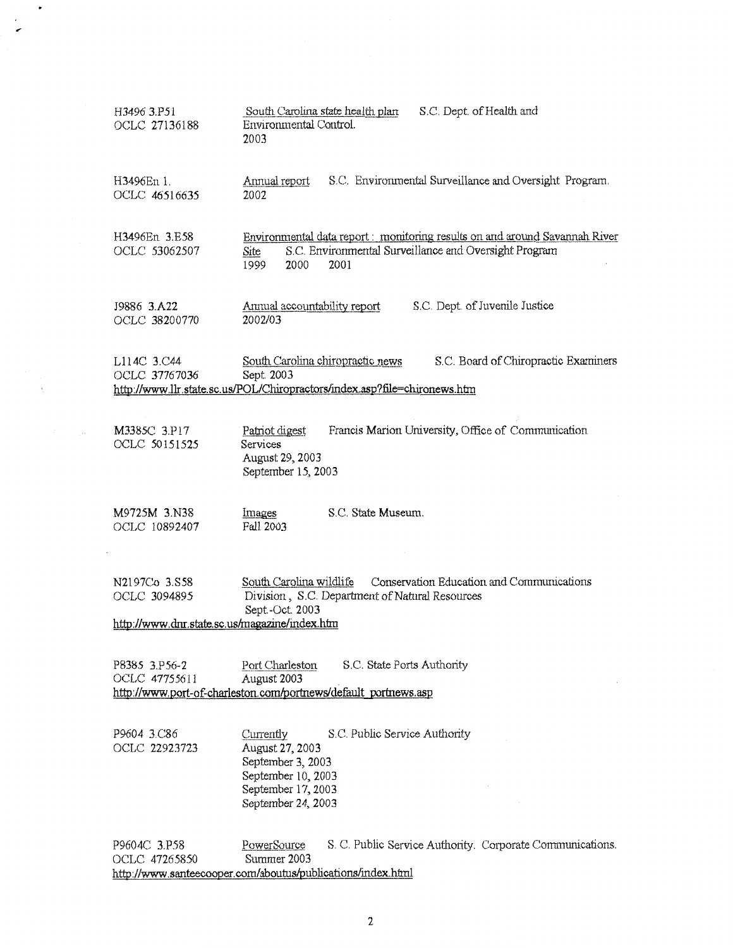| H3496 3.P51<br>OCLC 27136188                                                                                                                                                                        | S.C. Dept. of Health and<br>South Carolina state health plan<br>Environmental Control.<br>2003                                                                      |  |  |
|-----------------------------------------------------------------------------------------------------------------------------------------------------------------------------------------------------|---------------------------------------------------------------------------------------------------------------------------------------------------------------------|--|--|
| H3496En 1.<br>OCLC 46516635                                                                                                                                                                         | S.C. Environmental Surveillance and Oversight Program.<br>Annual report<br>2002                                                                                     |  |  |
| H3496En 3.E58<br>OCLC 53062507                                                                                                                                                                      | Environmental data report: monitoring results on and around Savannah River<br>S.C. Environmental Surveillance and Oversight Program<br>Site<br>2001<br>2000<br>1999 |  |  |
| J9886 3.A22<br>OCLC 38200770                                                                                                                                                                        | S.C. Dept. of Juvenile Justice<br>Annual accountability report<br>2002/03                                                                                           |  |  |
| S.C. Board of Chiropractic Examiners<br>South Carolina chiropractic news<br>L114C 3.C44<br>OCLC 37767036<br>Sept. 2003<br>http://www.llr.state.sc.us/POL/Chiropractors/index.asp?file=chironews.htm |                                                                                                                                                                     |  |  |
| M3385C 3.P17<br>OCLC 50151525                                                                                                                                                                       | Francis Marion University, Office of Communication<br>Patriot digest<br>Services<br>August 29, 2003<br>September 15, 2003                                           |  |  |
| M9725M 3.N38<br>OCLC 10892407                                                                                                                                                                       | S.C. State Museum.<br>Images<br>Fall 2003                                                                                                                           |  |  |
| N2197Co 3.S58<br>OCLC 3094895<br>http://www.dnr.state.sc.us/magazine/index.htm                                                                                                                      | Conservation Education and Communications<br>South Carolina wildlife<br>Division, S.C. Department of Natural Resources<br>Sept.-Oct. 2003                           |  |  |
| P8385 3.P56-2<br>OCLC 47755611                                                                                                                                                                      | S.C. State Ports Authority<br>Port Charleston<br>August 2003<br>http://www.port-of-charleston.com/portnews/default_portnews.asp                                     |  |  |
| P9604 3.C86<br>OCLC 22923723                                                                                                                                                                        | S.C. Public Service Authority<br>Currently<br>August 27, 2003<br>September 3, 2003<br>September 10, 2003<br>September 17, 2003<br>September 24, 2003                |  |  |
| P9604C 3.P58<br>OCLC 47265850                                                                                                                                                                       | S. C. Public Service Authority. Corporate Communications.<br>PowerSource<br>Summer 2003                                                                             |  |  |

http://www.santeecooper.com/aboutus/publications/index.html

 $\ddot{\phantom{0}}$ 

 $\bar{\mathbf{t}}$ 

 $\epsilon$  $\overline{a}$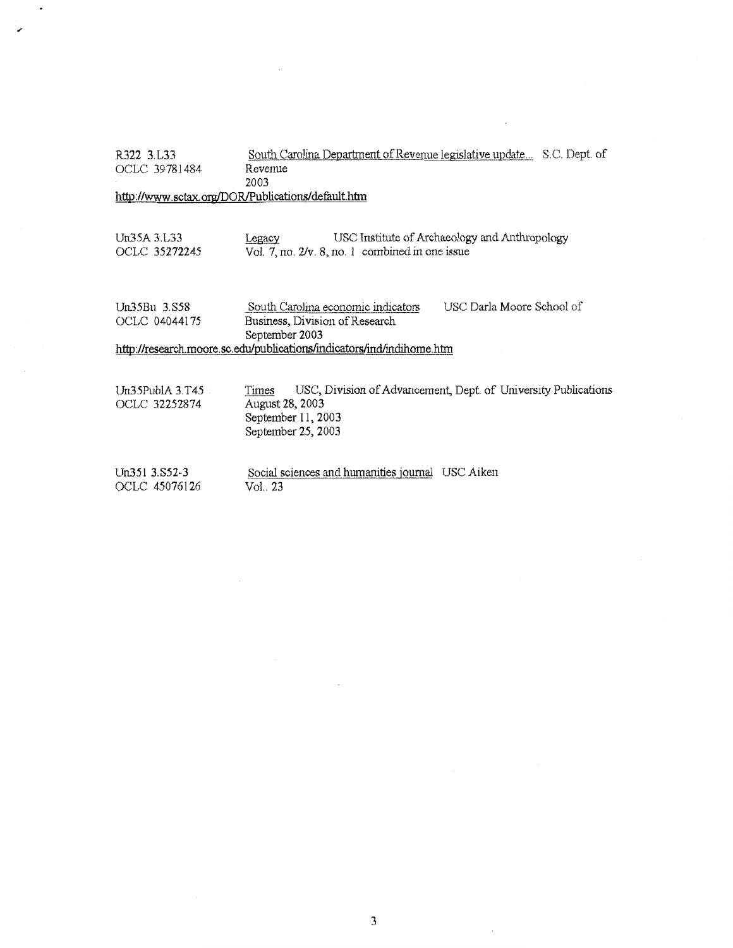| R322 3.L33                                | South Carolina Department of Revenue legislative update S.C. Dept. of                                                                  |
|-------------------------------------------|----------------------------------------------------------------------------------------------------------------------------------------|
| OCLC 39781484                             | Revemie                                                                                                                                |
|                                           | 2003                                                                                                                                   |
|                                           | http://www.sctax.org/DOR/Publications/default.htm                                                                                      |
|                                           |                                                                                                                                        |
| Un35A31.33<br>OCLC 35272245               | USC Institute of Archaeology and Anthropology<br>Legacy<br>Vol. 7, no. 2/v. 8, no. 1 combined in one issue                             |
| Un35Bu 3.S58<br>OCLC 04044175             | USC Darla Moore School of<br>South Carolina economic indicators<br>Business, Division of Research                                      |
|                                           | September 2003                                                                                                                         |
|                                           | http://research.moore.sc.edu/publications/indicators/ind/indihome.htm                                                                  |
|                                           |                                                                                                                                        |
| $Un35$ Publ $A$ 3. $T45$<br>OCLC 32252874 | USC, Division of Advancement, Dept. of University Publications<br>Times<br>August 28, 2003<br>September 11, 2003<br>September 25, 2003 |
| $Un351$ 3.852-3<br>OCLC 45076126          | Social sciences and humanities journal USC Aiken<br>Vol., 23                                                                           |

 $\bar{\mathcal{A}}$ 

 $\overline{\phantom{a}}$ 

 $\sim$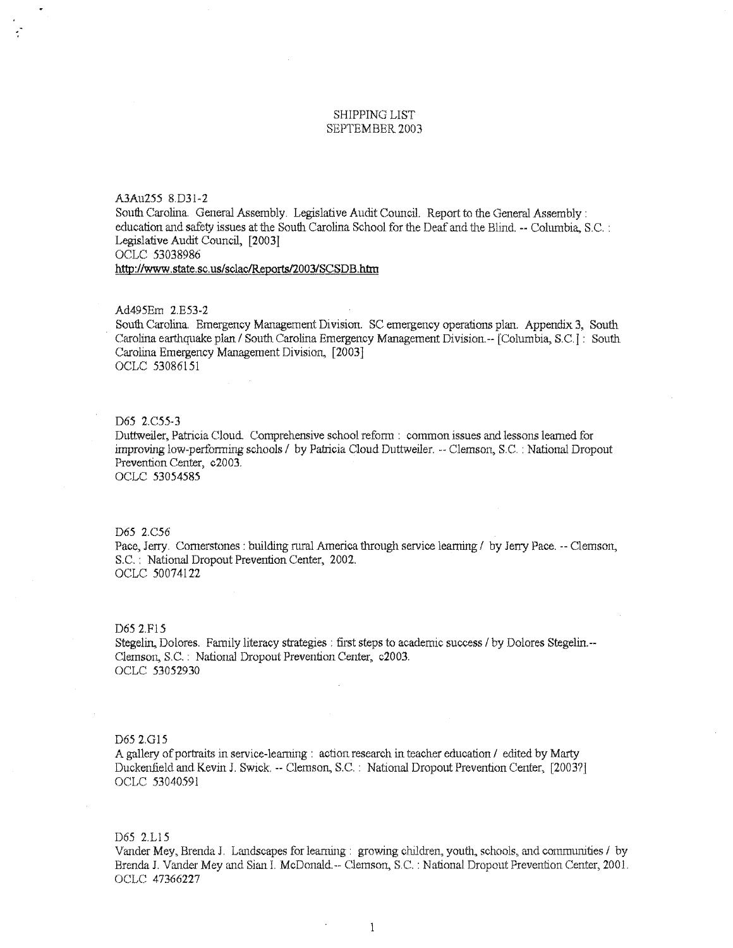## SHIPPING LIST SEPTEMBER 2003

# A3Au255 8.D31-2

South Carolina. General Assembly. Legislative Audit Council. Report to the General Assembly: education and safety issues at the South Carolina School tor the Deaf and the Blind. --Columbia, S.C. : Legislative Audit Council, [2003] OCLC 53038986

**http://www.state.sc. us/sclac/Reports/2003/SCSDB.htrn** 

### Ad495Em 2.E53-2

South Carolina. Emergency Management Division. SC emergency operations plan. Appendix 3, South Carolina earthquake plan / South Carolina Emergency Management Division.-- [Columbia, S.C.]: South Carolina Emergency Management Division, [2003] OCLC 53086151

#### D65 2.C55-3

Duttweiler, Patricia Cloud. Comprehensive school reform : common issues and lessons learned for improving low-performing schools / by Patricia Cloud Duttweiler. -- Clemson, S.C. : National Dropout Prevention Center, c2003. OCLC 53054585

#### D65 2.C56

Pace, Jerry. Cornerstones: building rural America through service learning / by Jerry Pace. -- Clemson, S.C. : National Dropout Prevention Center, 2002. OCLC 50074122

#### D65 2.F15

Stegelin, Dolores. Family literacy strategies : first steps to academic success / by Dolores Stegelin.--Clemson, S.C. : National Dropout Prevention Center, c2003. OCLC 53052930

#### D65 2.Gl5

A gallery of portraits in service-learning : action research in teacher education / edited by Marty Duckenfield and Kevin J. Swick. -- Clemson, S.C. : National Dropout Prevention Center, [2003?] OCLC 53040591

# D65 2.L15

Vander Mey, Brenda J. Landscapes for learning : growing children, youth, schools, and communities / by Brenda J. Vander Mey and Sian I. McDonald.-- Clemson, S.C. : National Dropout Prevention Center, 2001. OCLC 47366227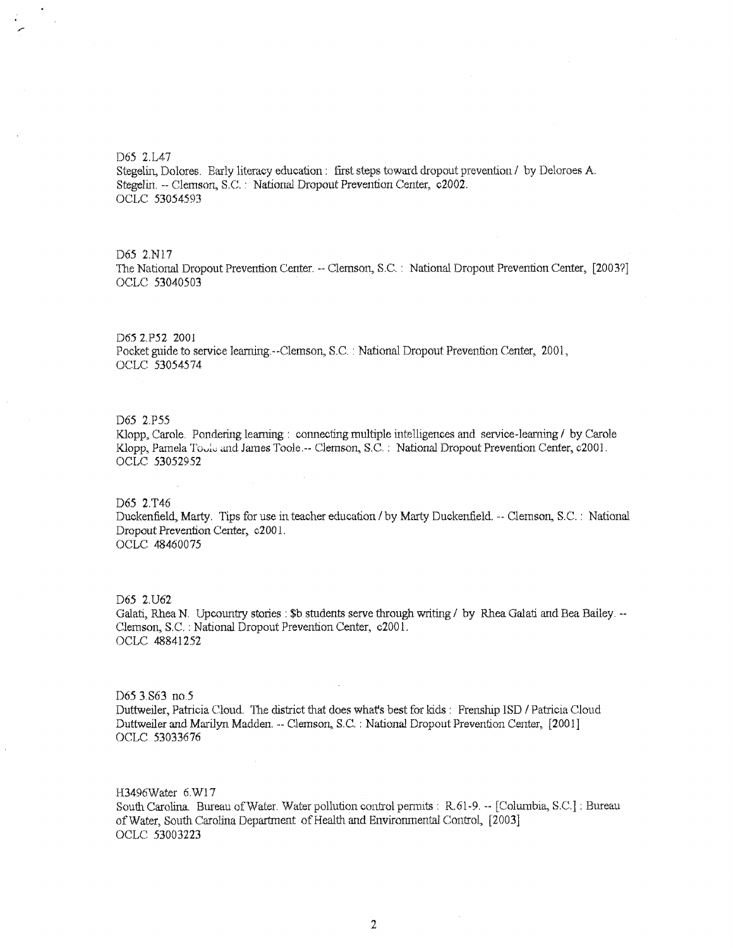D65 2.IA7

Stegelin, Dolores. Early literacy education : first steps toward dropout prevention / by Deloroes A. Stegelin. --Clemson, S.C. : National Dropout Prevention Center, c2002. OCLC 53054593

#### D65 2.Nl7

The National Dropout Prevention Center. -- Clemson, S.C. : National Dropout Prevention Center, [2003?] OCLC 53040503

#### D65 2.P52 2001

Pocket guide to service leaming.--Clemson, S.C. : National Dropout Prevention Center, 2001, OCLC 53054574

#### D65 2.P55

Klopp, Carole. Pondering learning : connecting multiple intelligences and service-learning / by Carole Klopp, Pamela Toole and James Toole.-- Clemson, S.C. : National Dropout Prevention Center, c2001. OCLC 53052952

#### D65 2.T46

Duckenfield, Marty. Tips for use in teacher education / by Marty Duckenfield. -- Clemson, S.C. : National Dropout Prevention Center, c200 1. OCLC 48460075

D65 2.U62 Galati, Rhea N. Upcountry stories : \$b students serve through writing / by Rhea Galati and Bea Bailey. --Clemson, S.C. : National Dropout Prevention Center, c200 1. OCLC 48841252

D65 3.S63 no.5 Duttweiler, Patricia Cloud. The district that does what's best for kids: Frenship ISD / Patricia Cloud Duttweiler and Marilyn Madden. -- Clemson, S.C. : National Dropout Prevention Center, [2001] OCLC 53033676

H3496Water 6.W17 South Carolina. Bureau of Water. Water pollution control permits : R.61-9. -- [Columbia, S.C.] : Bureau of Water, South Carolina Department of Health and Environmental Control, [2003] OCLC 53003223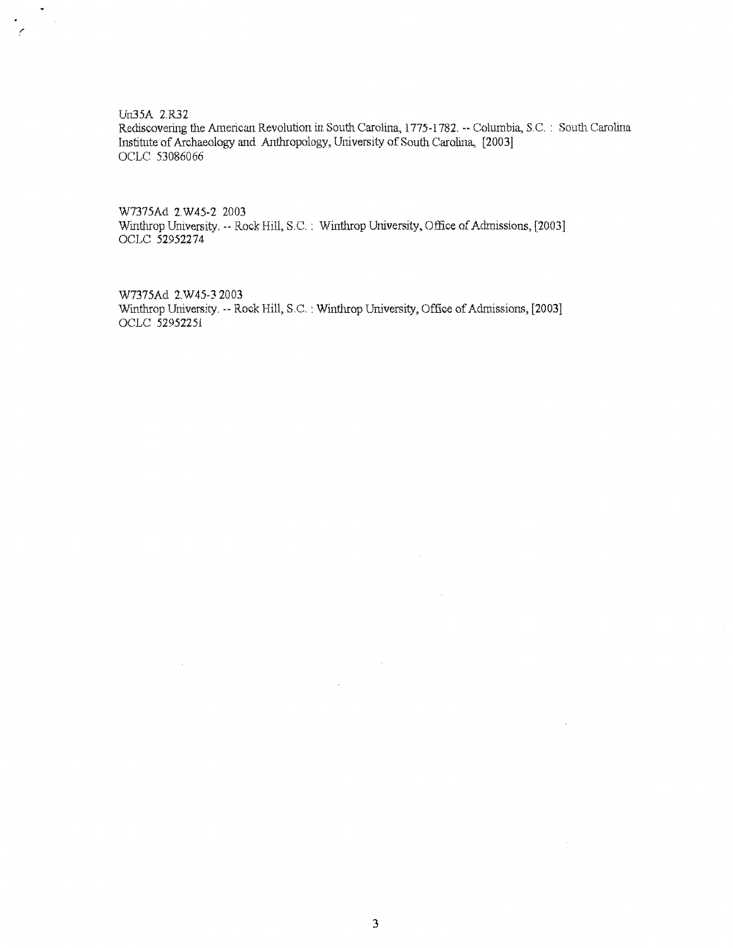Un35A 2.R32

 $\ddot{\phantom{a}}$ 

 $\pmb{\cdot}$ t,

> Rediscovering the American Revolution in South Carolina, 1775-1782. -- Columbia, S.C. : South Carolina Institute of Archaeology and Anthropology, University of South Carolina, [2003] OCLC 53086066

W7375Ad 2.W45-2 2003 Winthrop University. -- Rock Hill, S.C. : Winthrop University, Office of Admissions, [2003] OCLC 52952274

W7375Ad 2.W45-3 2003 Winthrop University. -- Rock Hill, S.C. : Winthrop University, Office of Admissions, [2003] OCLC 52952251